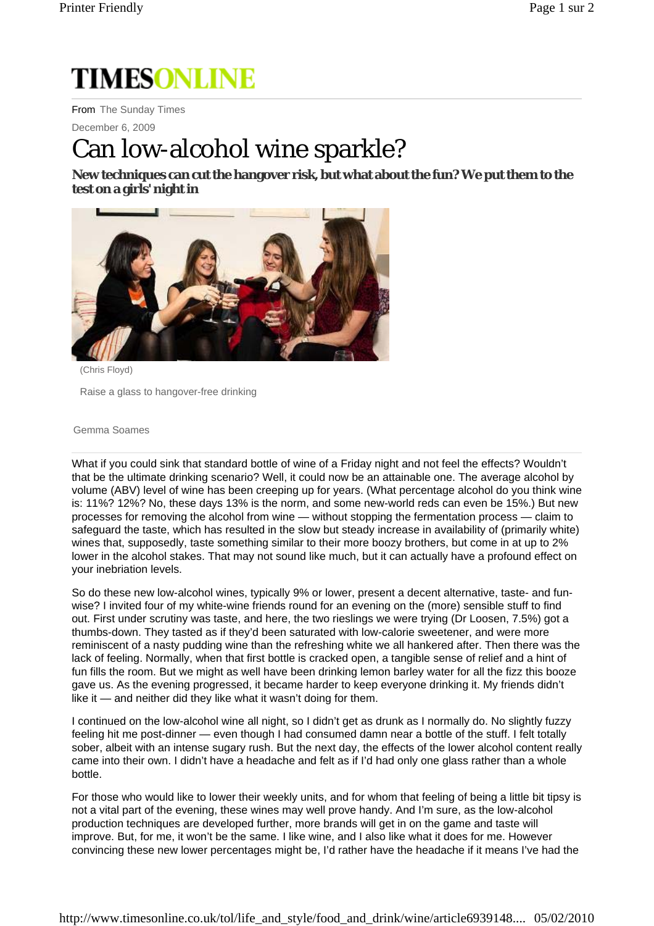# **TIMESONLINE**

From The Sunday Times

December 6, 2009

## Can low-alcohol wine sparkle?

**New techniques can cut the hangover risk, but what about the fun? We put them to the test on a girls' night in** 



(Chris Floyd)

Raise a glass to hangover-free drinking

#### Gemma Soames

What if you could sink that standard bottle of wine of a Friday night and not feel the effects? Wouldn't that be the ultimate drinking scenario? Well, it could now be an attainable one. The average alcohol by volume (ABV) level of wine has been creeping up for years. (What percentage alcohol do you think wine is: 11%? 12%? No, these days 13% is the norm, and some new-world reds can even be 15%.) But new processes for removing the alcohol from wine — without stopping the fermentation process — claim to safeguard the taste, which has resulted in the slow but steady increase in availability of (primarily white) wines that, supposedly, taste something similar to their more boozy brothers, but come in at up to 2% lower in the alcohol stakes. That may not sound like much, but it can actually have a profound effect on your inebriation levels.

So do these new low-alcohol wines, typically 9% or lower, present a decent alternative, taste- and funwise? I invited four of my white-wine friends round for an evening on the (more) sensible stuff to find out. First under scrutiny was taste, and here, the two rieslings we were trying (Dr Loosen, 7.5%) got a thumbs-down. They tasted as if they'd been saturated with low-calorie sweetener, and were more reminiscent of a nasty pudding wine than the refreshing white we all hankered after. Then there was the lack of feeling. Normally, when that first bottle is cracked open, a tangible sense of relief and a hint of fun fills the room. But we might as well have been drinking lemon barley water for all the fizz this booze gave us. As the evening progressed, it became harder to keep everyone drinking it. My friends didn't like it — and neither did they like what it wasn't doing for them.

I continued on the low-alcohol wine all night, so I didn't get as drunk as I normally do. No slightly fuzzy feeling hit me post-dinner — even though I had consumed damn near a bottle of the stuff. I felt totally sober, albeit with an intense sugary rush. But the next day, the effects of the lower alcohol content really came into their own. I didn't have a headache and felt as if I'd had only one glass rather than a whole bottle.

For those who would like to lower their weekly units, and for whom that feeling of being a little bit tipsy is not a vital part of the evening, these wines may well prove handy. And I'm sure, as the low-alcohol production techniques are developed further, more brands will get in on the game and taste will improve. But, for me, it won't be the same. I like wine, and I also like what it does for me. However convincing these new lower percentages might be, I'd rather have the headache if it means I've had the